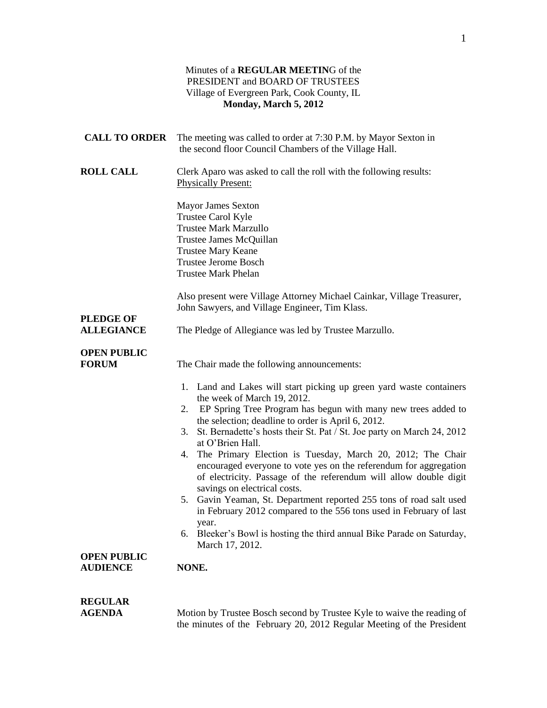### Minutes of a **REGULAR MEETIN**G of the PRESIDENT and BOARD OF TRUSTEES Village of Evergreen Park, Cook County, IL **Monday, March 5, 2012**

| <b>CALL TO ORDER</b>                  | The meeting was called to order at 7:30 P.M. by Mayor Sexton in<br>the second floor Council Chambers of the Village Hall.                                                                                                                                                                                                                                                                                                                                                                                                                                                                                                                                                                                                                                                                                                               |
|---------------------------------------|-----------------------------------------------------------------------------------------------------------------------------------------------------------------------------------------------------------------------------------------------------------------------------------------------------------------------------------------------------------------------------------------------------------------------------------------------------------------------------------------------------------------------------------------------------------------------------------------------------------------------------------------------------------------------------------------------------------------------------------------------------------------------------------------------------------------------------------------|
| <b>ROLL CALL</b>                      | Clerk Aparo was asked to call the roll with the following results:<br><b>Physically Present:</b>                                                                                                                                                                                                                                                                                                                                                                                                                                                                                                                                                                                                                                                                                                                                        |
|                                       | <b>Mayor James Sexton</b><br>Trustee Carol Kyle<br><b>Trustee Mark Marzullo</b><br>Trustee James McQuillan<br><b>Trustee Mary Keane</b><br><b>Trustee Jerome Bosch</b><br><b>Trustee Mark Phelan</b>                                                                                                                                                                                                                                                                                                                                                                                                                                                                                                                                                                                                                                    |
| <b>PLEDGE OF</b>                      | Also present were Village Attorney Michael Cainkar, Village Treasurer,<br>John Sawyers, and Village Engineer, Tim Klass.                                                                                                                                                                                                                                                                                                                                                                                                                                                                                                                                                                                                                                                                                                                |
| <b>ALLEGIANCE</b>                     | The Pledge of Allegiance was led by Trustee Marzullo.                                                                                                                                                                                                                                                                                                                                                                                                                                                                                                                                                                                                                                                                                                                                                                                   |
| <b>OPEN PUBLIC</b><br><b>FORUM</b>    | The Chair made the following announcements:                                                                                                                                                                                                                                                                                                                                                                                                                                                                                                                                                                                                                                                                                                                                                                                             |
| <b>OPEN PUBLIC</b><br><b>AUDIENCE</b> | 1. Land and Lakes will start picking up green yard waste containers<br>the week of March 19, 2012.<br>2. EP Spring Tree Program has begun with many new trees added to<br>the selection; deadline to order is April 6, 2012.<br>3. St. Bernadette's hosts their St. Pat / St. Joe party on March 24, 2012<br>at O'Brien Hall.<br>4. The Primary Election is Tuesday, March 20, 2012; The Chair<br>encouraged everyone to vote yes on the referendum for aggregation<br>of electricity. Passage of the referendum will allow double digit<br>savings on electrical costs.<br>5. Gavin Yeaman, St. Department reported 255 tons of road salt used<br>in February 2012 compared to the 556 tons used in February of last<br>year.<br>Bleeker's Bowl is hosting the third annual Bike Parade on Saturday,<br>6.<br>March 17, 2012.<br>NONE. |
| <b>REGULAR</b><br><b>AGENDA</b>       | Motion by Trustee Bosch second by Trustee Kyle to waive the reading of                                                                                                                                                                                                                                                                                                                                                                                                                                                                                                                                                                                                                                                                                                                                                                  |

the minutes of the February 20, 2012 Regular Meeting of the President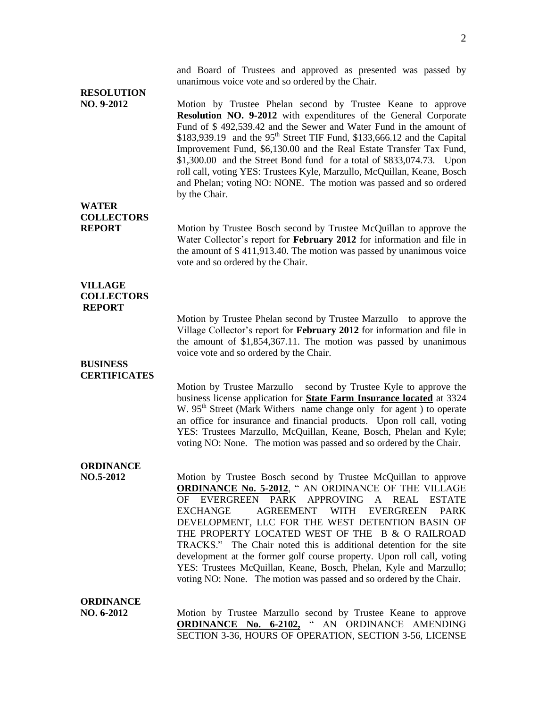and Board of Trustees and approved as presented was passed by unanimous voice vote and so ordered by the Chair.

## **RESOLUTION**

**NO. 9-2012** Motion by Trustee Phelan second by Trustee Keane to approve **Resolution NO. 9-2012** with expenditures of the General Corporate Fund of \$ 492,539.42 and the Sewer and Water Fund in the amount of  $$183,939.19$  and the 95<sup>th</sup> Street TIF Fund,  $$133,666.12$  and the Capital Improvement Fund, \$6,130.00 and the Real Estate Transfer Tax Fund, \$1,300.00 and the Street Bond fund for a total of \$833,074.73. Upon roll call, voting YES: Trustees Kyle, Marzullo, McQuillan, Keane, Bosch and Phelan; voting NO: NONE. The motion was passed and so ordered by the Chair.

## **WATER COLLECTORS**

**REPORT** Motion by Trustee Bosch second by Trustee McQuillan to approve the Water Collector's report for **February 2012** for information and file in the amount of \$ 411,913.40. The motion was passed by unanimous voice vote and so ordered by the Chair.

### **VILLAGE COLLECTORS REPORT**

Motion by Trustee Phelan second by Trustee Marzullo to approve the Village Collector's report for **February 2012** for information and file in the amount of \$1,854,367.11. The motion was passed by unanimous voice vote and so ordered by the Chair.

#### **BUSINESS CERTIFICATES**

Motion by Trustee Marzullo second by Trustee Kyle to approve the business license application for **State Farm Insurance located** at 3324 W.  $95<sup>th</sup>$  Street (Mark Withers name change only for agent) to operate an office for insurance and financial products. Upon roll call, voting YES: Trustees Marzullo, McQuillan, Keane, Bosch, Phelan and Kyle; voting NO: None. The motion was passed and so ordered by the Chair.

## **ORDINANCE**

**NO.5-2012** Motion by Trustee Bosch second by Trustee McQuillan to approve **ORDINANCE No. 5-2012**, " AN ORDINANCE OF THE VILLAGE OF EVERGREEN PARK APPROVING A REAL ESTATE EXCHANGE AGREEMENT WITH EVERGREEN PARK DEVELOPMENT, LLC FOR THE WEST DETENTION BASIN OF THE PROPERTY LOCATED WEST OF THE B & O RAILROAD TRACKS." The Chair noted this is additional detention for the site development at the former golf course property. Upon roll call, voting YES: Trustees McQuillan, Keane, Bosch, Phelan, Kyle and Marzullo; voting NO: None. The motion was passed and so ordered by the Chair.

#### **ORDINANCE**

**NO. 6-2012** Motion by Trustee Marzullo second by Trustee Keane to approve **ORDINANCE No. 6-2102,** " AN ORDINANCE AMENDING SECTION 3-36, HOURS OF OPERATION, SECTION 3-56, LICENSE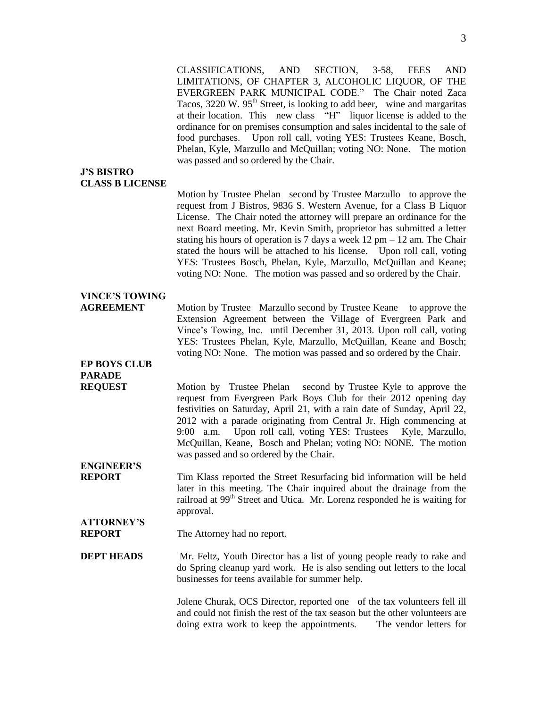CLASSIFICATIONS, AND SECTION, 3-58, FEES AND LIMITATIONS, OF CHAPTER 3, ALCOHOLIC LIQUOR, OF THE EVERGREEN PARK MUNICIPAL CODE." The Chair noted Zaca Tacos,  $3220 \text{ W}$ .  $95^{\text{th}}$  Street, is looking to add beer, wine and margaritas at their location. This new class "H" liquor license is added to the ordinance for on premises consumption and sales incidental to the sale of food purchases. Upon roll call, voting YES: Trustees Keane, Bosch, Phelan, Kyle, Marzullo and McQuillan; voting NO: None. The motion was passed and so ordered by the Chair.

#### **J'S BISTRO CLASS B LICENSE**

Motion by Trustee Phelan second by Trustee Marzullo to approve the request from J Bistros, 9836 S. Western Avenue, for a Class B Liquor License. The Chair noted the attorney will prepare an ordinance for the next Board meeting. Mr. Kevin Smith, proprietor has submitted a letter stating his hours of operation is 7 days a week  $12$  pm  $-12$  am. The Chair stated the hours will be attached to his license. Upon roll call, voting YES: Trustees Bosch, Phelan, Kyle, Marzullo, McQuillan and Keane; voting NO: None. The motion was passed and so ordered by the Chair.

## **VINCE'S TOWING**

**AGREEMENT** Motion by Trustee Marzullo second by Trustee Keane to approve the Extension Agreement between the Village of Evergreen Park and Vince's Towing, Inc. until December 31, 2013. Upon roll call, voting YES: Trustees Phelan, Kyle, Marzullo, McQuillan, Keane and Bosch; voting NO: None. The motion was passed and so ordered by the Chair.

## **EP BOYS CLUB PARADE**

**REQUEST** Motion by Trustee Phelan second by Trustee Kyle to approve the request from Evergreen Park Boys Club for their 2012 opening day festivities on Saturday, April 21, with a rain date of Sunday, April 22, 2012 with a parade originating from Central Jr. High commencing at 9:00 a.m. Upon roll call, voting YES: Trustees Kyle, Marzullo, McQuillan, Keane, Bosch and Phelan; voting NO: NONE. The motion was passed and so ordered by the Chair.

# **ENGINEER'S**

**REPORT** Tim Klass reported the Street Resurfacing bid information will be held later in this meeting. The Chair inquired about the drainage from the railroad at 99<sup>th</sup> Street and Utica. Mr. Lorenz responded he is waiting for approval.

#### **ATTORNEY'S REPORT** The Attorney had no report.

**DEPT HEADS** Mr. Feltz, Youth Director has a list of young people ready to rake and do Spring cleanup yard work. He is also sending out letters to the local businesses for teens available for summer help.

> Jolene Churak, OCS Director, reported one of the tax volunteers fell ill and could not finish the rest of the tax season but the other volunteers are doing extra work to keep the appointments. The vendor letters for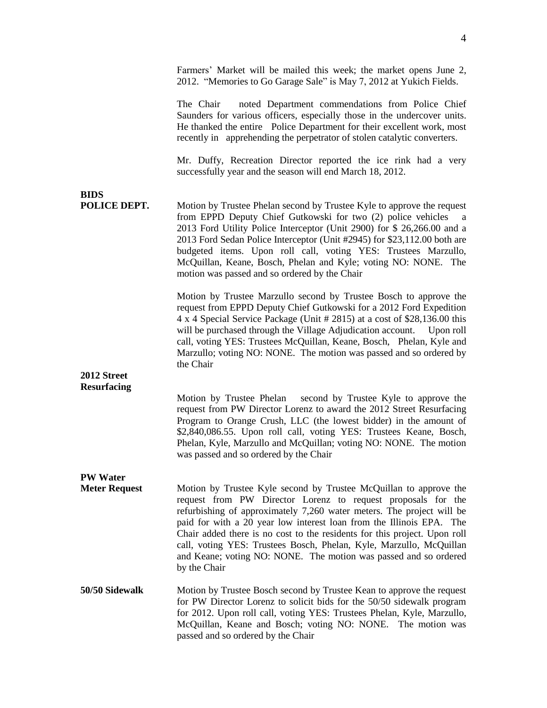|                             | Farmers' Market will be mailed this week; the market opens June 2,<br>2012. "Memories to Go Garage Sale" is May 7, 2012 at Yukich Fields.                                                                                                                                                                                                                                                                                                                                                                                  |
|-----------------------------|----------------------------------------------------------------------------------------------------------------------------------------------------------------------------------------------------------------------------------------------------------------------------------------------------------------------------------------------------------------------------------------------------------------------------------------------------------------------------------------------------------------------------|
|                             | noted Department commendations from Police Chief<br>The Chair<br>Saunders for various officers, especially those in the undercover units.<br>He thanked the entire Police Department for their excellent work, most<br>recently in apprehending the perpetrator of stolen catalytic converters.                                                                                                                                                                                                                            |
|                             | Mr. Duffy, Recreation Director reported the ice rink had a very<br>successfully year and the season will end March 18, 2012.                                                                                                                                                                                                                                                                                                                                                                                               |
| <b>BIDS</b><br>POLICE DEPT. | Motion by Trustee Phelan second by Trustee Kyle to approve the request<br>from EPPD Deputy Chief Gutkowski for two (2) police vehicles a<br>2013 Ford Utility Police Interceptor (Unit 2900) for \$ 26,266.00 and a<br>2013 Ford Sedan Police Interceptor (Unit #2945) for \$23,112.00 both are<br>budgeted items. Upon roll call, voting YES: Trustees Marzullo,<br>McQuillan, Keane, Bosch, Phelan and Kyle; voting NO: NONE. The<br>motion was passed and so ordered by the Chair                                       |
|                             | Motion by Trustee Marzullo second by Trustee Bosch to approve the<br>request from EPPD Deputy Chief Gutkowski for a 2012 Ford Expedition<br>4 x 4 Special Service Package (Unit # 2815) at a cost of \$28,136.00 this<br>will be purchased through the Village Adjudication account.<br>Upon roll<br>call, voting YES: Trustees McQuillan, Keane, Bosch, Phelan, Kyle and<br>Marzullo; voting NO: NONE. The motion was passed and so ordered by<br>the Chair                                                               |
| 2012 Street                 |                                                                                                                                                                                                                                                                                                                                                                                                                                                                                                                            |
| <b>Resurfacing</b>          | Motion by Trustee Phelan second by Trustee Kyle to approve the<br>request from PW Director Lorenz to award the 2012 Street Resurfacing<br>Program to Orange Crush, LLC (the lowest bidder) in the amount of<br>\$2,840,086.55. Upon roll call, voting YES: Trustees Keane, Bosch,<br>Phelan, Kyle, Marzullo and McQuillan; voting NO: NONE. The motion<br>was passed and so ordered by the Chair                                                                                                                           |
| <b>PW Water</b>             |                                                                                                                                                                                                                                                                                                                                                                                                                                                                                                                            |
| <b>Meter Request</b>        | Motion by Trustee Kyle second by Trustee McQuillan to approve the<br>request from PW Director Lorenz to request proposals for the<br>refurbishing of approximately 7,260 water meters. The project will be<br>paid for with a 20 year low interest loan from the Illinois EPA. The<br>Chair added there is no cost to the residents for this project. Upon roll<br>call, voting YES: Trustees Bosch, Phelan, Kyle, Marzullo, McQuillan<br>and Keane; voting NO: NONE. The motion was passed and so ordered<br>by the Chair |
| 50/50 Sidewalk              | Motion by Trustee Bosch second by Trustee Kean to approve the request<br>for PW Director Lorenz to solicit bids for the 50/50 sidewalk program<br>for 2012. Upon roll call, voting YES: Trustees Phelan, Kyle, Marzullo,<br>McQuillan, Keane and Bosch; voting NO: NONE. The motion was<br>passed and so ordered by the Chair                                                                                                                                                                                              |